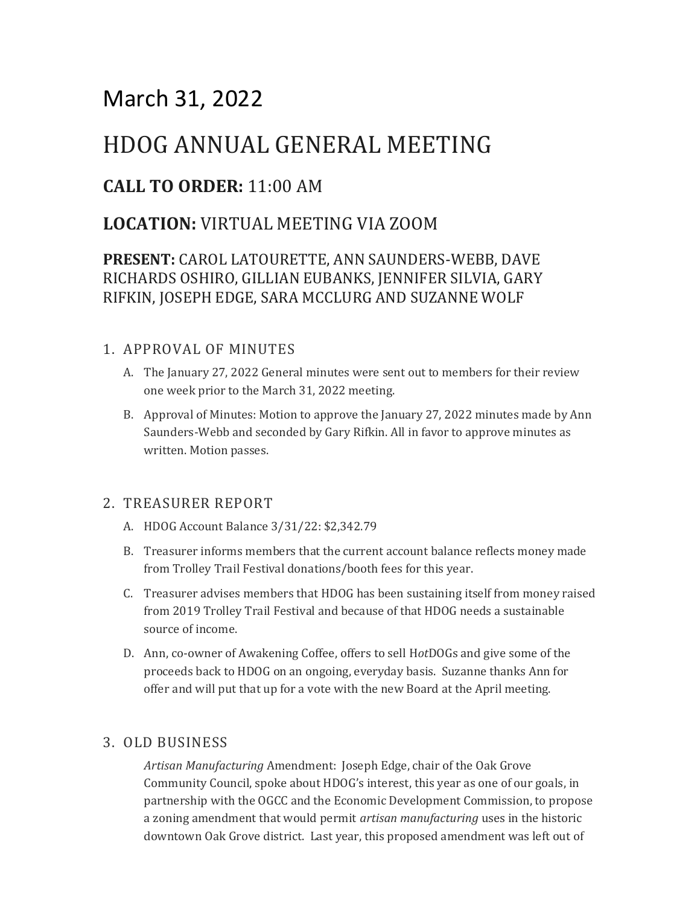# March 31, 2022

# HDOG ANNUAL GENERAL MEETING

## **CALL TO ORDER:** 11:00 AM

## **LOCATION:** VIRTUAL MEETING VIA ZOOM

### **PRESENT:** CAROL LATOURETTE, ANN SAUNDERS-WEBB, DAVE RICHARDS OSHIRO, GILLIAN EUBANKS, JENNIFER SILVIA, GARY RIFKIN, JOSEPH EDGE, SARA MCCLURG AND SUZANNE WOLF

### 1. APPROVAL OF MINUTES

- A. The January 27, 2022 General minutes were sent out to members for their review one week prior to the March 31, 2022 meeting.
- B. Approval of Minutes: Motion to approve the January 27, 2022 minutes made by Ann Saunders-Webb and seconded by Gary Rifkin. All in favor to approve minutes as written. Motion passes.

### 2. TREASURER REPORT

- A. HDOG Account Balance 3/31/22: \$2,342.79
- B. Treasurer informs members that the current account balance reflects money made from Trolley Trail Festival donations/booth fees for this year.
- C. Treasurer advises members that HDOG has been sustaining itself from money raised from 2019 Trolley Trail Festival and because of that HDOG needs a sustainable source of income.
- D. Ann, co-owner of Awakening Coffee, offers to sell H*ot*DOGs and give some of the proceeds back to HDOG on an ongoing, everyday basis. Suzanne thanks Ann for offer and will put that up for a vote with the new Board at the April meeting.

### 3. OLD BUSINESS

*Artisan Manufacturing* Amendment: Joseph Edge, chair of the Oak Grove Community Council, spoke about HDOG's interest, this year as one of our goals, in partnership with the OGCC and the Economic Development Commission, to propose a zoning amendment that would permit *artisan manufacturing* uses in the historic downtown Oak Grove district. Last year, this proposed amendment was left out of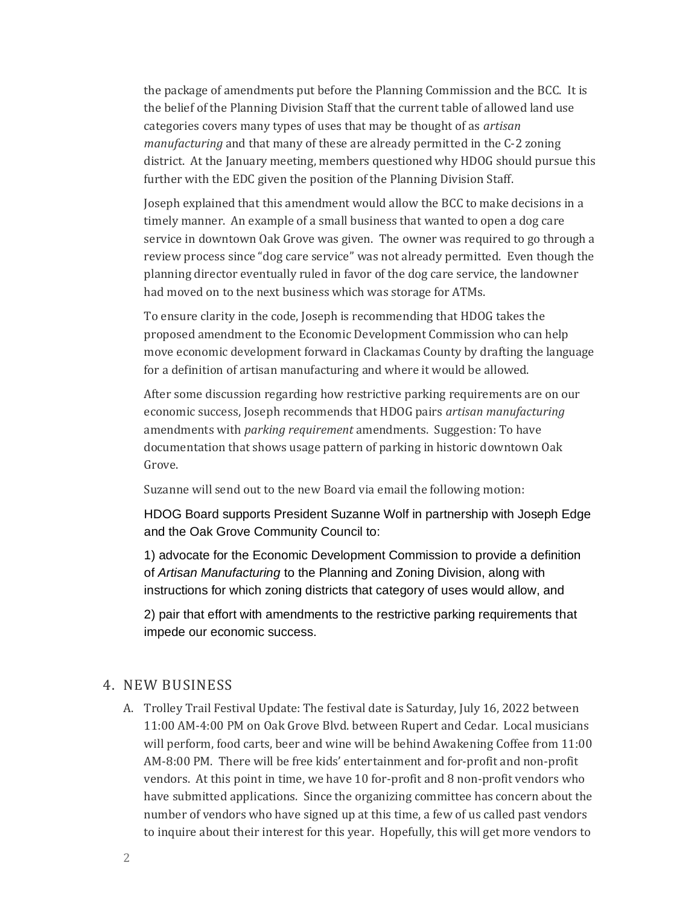the package of amendments put before the Planning Commission and the BCC. It is the belief of the Planning Division Staff that the current table of allowed land use categories covers many types of uses that may be thought of as *artisan manufacturing* and that many of these are already permitted in the C-2 zoning district. At the January meeting, members questioned why HDOG should pursue this further with the EDC given the position of the Planning Division Staff.

Joseph explained that this amendment would allow the BCC to make decisions in a timely manner. An example of a small business that wanted to open a dog care service in downtown Oak Grove was given. The owner was required to go through a review process since "dog care service" was not already permitted. Even though the planning director eventually ruled in favor of the dog care service, the landowner had moved on to the next business which was storage for ATMs.

To ensure clarity in the code, Joseph is recommending that HDOG takes the proposed amendment to the Economic Development Commission who can help move economic development forward in Clackamas County by drafting the language for a definition of artisan manufacturing and where it would be allowed.

After some discussion regarding how restrictive parking requirements are on our economic success, Joseph recommends that HDOG pairs *artisan manufacturing* amendments with *parking requirement* amendments. Suggestion: To have documentation that shows usage pattern of parking in historic downtown Oak Grove.

Suzanne will send out to the new Board via email the following motion:

HDOG Board supports President Suzanne Wolf in partnership with Joseph Edge and the Oak Grove Community Council to:

1) advocate for the Economic Development Commission to provide a definition of *Artisan Manufacturing* to the Planning and Zoning Division, along with instructions for which zoning districts that category of uses would allow, and

2) pair that effort with amendments to the restrictive parking requirements that impede our economic success.

#### 4. NEW BUSINESS

A. Trolley Trail Festival Update: The festival date is Saturday, July 16, 2022 between 11:00 AM-4:00 PM on Oak Grove Blvd. between Rupert and Cedar. Local musicians will perform, food carts, beer and wine will be behind Awakening Coffee from 11:00 AM-8:00 PM. There will be free kids' entertainment and for-profit and non-profit vendors. At this point in time, we have 10 for-profit and 8 non-profit vendors who have submitted applications. Since the organizing committee has concern about the number of vendors who have signed up at this time, a few of us called past vendors to inquire about their interest for this year. Hopefully, this will get more vendors to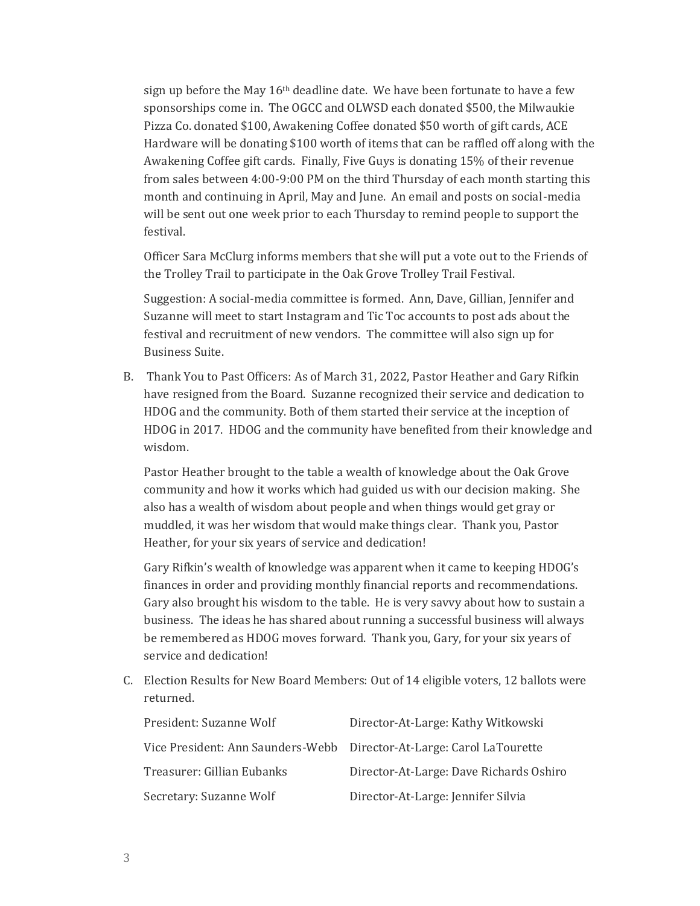sign up before the May  $16<sup>th</sup>$  deadline date. We have been fortunate to have a few sponsorships come in. The OGCC and OLWSD each donated \$500, the Milwaukie Pizza Co. donated \$100, Awakening Coffee donated \$50 worth of gift cards, ACE Hardware will be donating \$100 worth of items that can be raffled off along with the Awakening Coffee gift cards. Finally, Five Guys is donating 15% of their revenue from sales between 4:00-9:00 PM on the third Thursday of each month starting this month and continuing in April, May and June. An email and posts on social-media will be sent out one week prior to each Thursday to remind people to support the festival.

Officer Sara McClurg informs members that she will put a vote out to the Friends of the Trolley Trail to participate in the Oak Grove Trolley Trail Festival.

Suggestion: A social-media committee is formed. Ann, Dave, Gillian, Jennifer and Suzanne will meet to start Instagram and Tic Toc accounts to post ads about the festival and recruitment of new vendors. The committee will also sign up for Business Suite.

B. Thank You to Past Officers: As of March 31, 2022, Pastor Heather and Gary Rifkin have resigned from the Board. Suzanne recognized their service and dedication to HDOG and the community. Both of them started their service at the inception of HDOG in 2017. HDOG and the community have benefited from their knowledge and wisdom.

Pastor Heather brought to the table a wealth of knowledge about the Oak Grove community and how it works which had guided us with our decision making. She also has a wealth of wisdom about people and when things would get gray or muddled, it was her wisdom that would make things clear. Thank you, Pastor Heather, for your six years of service and dedication!

Gary Rifkin's wealth of knowledge was apparent when it came to keeping HDOG's finances in order and providing monthly financial reports and recommendations. Gary also brought his wisdom to the table. He is very savvy about how to sustain a business. The ideas he has shared about running a successful business will always be remembered as HDOG moves forward. Thank you, Gary, for your six years of service and dedication!

C. Election Results for New Board Members: Out of 14 eligible voters, 12 ballots were returned.

| President: Suzanne Wolf                                               | Director-At-Large: Kathy Witkowski      |
|-----------------------------------------------------------------------|-----------------------------------------|
| Vice President: Ann Saunders-Webb Director-At-Large: Carol LaTourette |                                         |
| Treasurer: Gillian Eubanks                                            | Director-At-Large: Dave Richards Oshiro |
| Secretary: Suzanne Wolf                                               | Director-At-Large: Jennifer Silvia      |